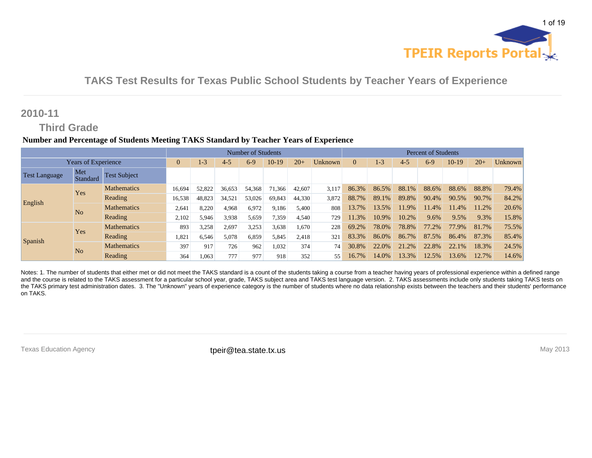

### **2010-11**

### **Third Grade**

#### **Number and Percentage of Students Meeting TAKS Standard by Teacher Years of Experience**

|                      |                            |                     |                |         |         | Number of Students |        |        |         |          | <b>Percent of Students</b> |          |         |       |       |         |
|----------------------|----------------------------|---------------------|----------------|---------|---------|--------------------|--------|--------|---------|----------|----------------------------|----------|---------|-------|-------|---------|
|                      | <b>Years of Experience</b> |                     | $\overline{0}$ | $1 - 3$ | $4 - 5$ | $6-9$              | 10-19  | $20+$  | Unknown | $\Omega$ | $1-3$                      | $4 - 5$  | $6-9$   | 10-19 | $20+$ | Unknown |
| <b>Test Language</b> | Met<br>Standard            | <b>Test Subject</b> |                |         |         |                    |        |        |         |          |                            |          |         |       |       |         |
|                      | Yes                        | <b>Mathematics</b>  | 16,694         | 52,822  | 36,653  | 54,368             | 71,366 | 42,607 | 3,117   | 86.3%    | 86.5%                      | 88.1%    | 88.6%   | 88.6% | 88.8% | 79.4%   |
| English              |                            | Reading             | 16,538         | 48,823  | 34,521  | 53,026             | 69,843 | 44.330 | 3,872   | 88.7%    | 89.1%                      | 89.8%    | 90.4%   | 90.5% | 90.7% | 84.2%   |
|                      | N <sub>o</sub>             | <b>Mathematics</b>  | 2,641          | 8,220   | 4,968   | 6,972              | 9,186  | 5,400  | 808     | 13.7%    | 3.5%                       | 1.9%     | $1.4\%$ | 11.4% | 11.2% | 20.6%   |
|                      |                            | Reading             | 2,102          | 5,946   | 3.938   | 5,659              | 7,359  | 4,540  | 729     | 11.3%    | 10.9%                      | 10.2%    | 9.6%    | 9.5%  | 9.3%  | 15.8%   |
|                      | Yes                        | <b>Mathematics</b>  | 893            | 3,258   | 2,697   | 3,253              | 3,638  | 1,670  | 228     | 69.2%    | 78.0%                      | 78.8%    | 77.2%   | 77.9% | 81.7% | 75.5%   |
|                      |                            | Reading             | 1,821          | 6,546   | 5,078   | 6,859              | 5,845  | 2,418  | 321     | 83.3%    | 86.0%                      | 86.7%    | 87.5%   | 86.4% | 87.3% | 85.4%   |
| Spanish              | N <sub>o</sub>             | <b>Mathematics</b>  | 397            | 917     | 726     | 962                | 1,032  | 374    | 74      | 30.8%    | 22.0%                      | 2%<br>21 | 22.8%   | 22.1% | 18.3% | 24.5%   |
|                      |                            | Reading             | 364            | 1,063   | 777     | 977                | 918    | 352    | 55      | 16.7%    | 14.0%                      | 13.3%    | 12.5%   | 13.6% | 12.7% | 14.6%   |

Notes: 1. The number of students that either met or did not meet the TAKS standard is a count of the students taking a course from a teacher having years of professional experience within a defined range and the course is related to the TAKS assessment for a particular school year, grade, TAKS subject area and TAKS test language version. 2. TAKS assessments include only students taking TAKS tests on the TAKS primary test administration dates. 3. The "Unknown" years of experience category is the number of students where no data relationship exists between the teachers and their students' performance on TAKS.

Texas Education Agency **their@tea.state.tx.us** their **contained the intervals of the intervals** May 2013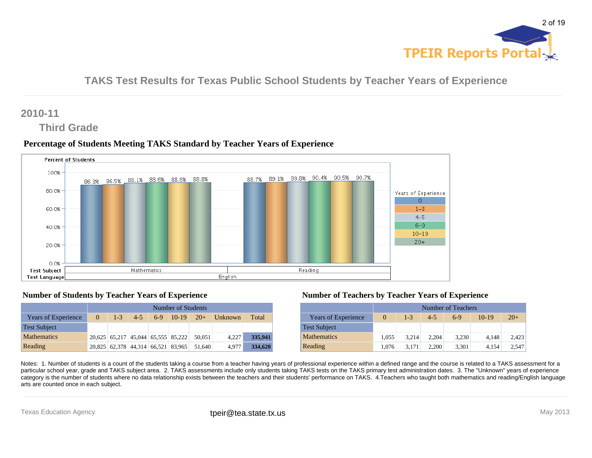

### **2010-11**

### **Third Grade**

#### **Percentage of Students Meeting TAKS Standard by Teacher Years of Experience**



#### **Number of Students by Teacher Years of Experience**

|                            |          |         |         |       | Number of Students                 |        |                |         |
|----------------------------|----------|---------|---------|-------|------------------------------------|--------|----------------|---------|
| <b>Years of Experience</b> | $\Omega$ | $1 - 3$ | $4 - 5$ | $6-9$ | $10-19$ $20+$                      |        | <b>Unknown</b> | Total   |
| <b>Test Subject</b>        |          |         |         |       |                                    |        |                |         |
| <b>Mathematics</b>         |          |         |         |       | 20,625 65,217 45,044 65,555 85,222 | 50.051 | 4.227          | 335,941 |
| Reading                    |          |         |         |       | 20,825 62,378 44,314 66,521 83,965 | 51.640 | 4.977          | 334,620 |

#### **Number of Teachers by Teacher Years of Experience**

|                            |          |         |         | Number of Teachers |         |       |
|----------------------------|----------|---------|---------|--------------------|---------|-------|
| <b>Years of Experience</b> | $\Omega$ | $1 - 3$ | $4 - 5$ | $6-9$              | $10-19$ | $20+$ |
| <b>Test Subject</b>        |          |         |         |                    |         |       |
| <b>Mathematics</b>         | 1.055    | 3.214   | 2.204   | 3,230              | 4.148   | 2,423 |
| Reading                    | 1.076    | 3.171   | 2.200   | 3,301              | 4.154   | 2,547 |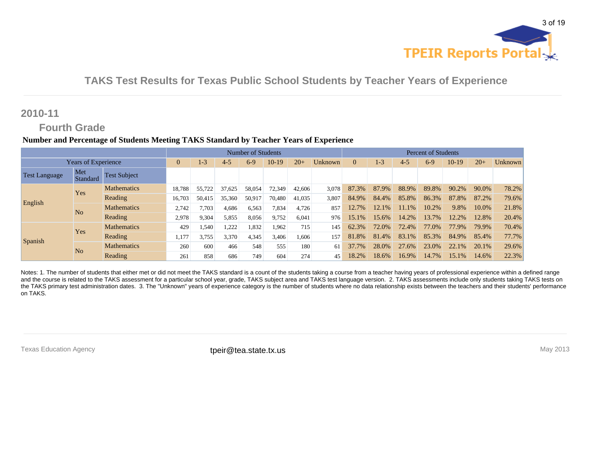

### **2010-11**

### **Fourth Grade**

#### **Number and Percentage of Students Meeting TAKS Standard by Teacher Years of Experience**

|                      |                            |                     |                |        |         | Number of Students |         |        |         | <b>Percent of Students</b> |          |         |       |       |       |         |
|----------------------|----------------------------|---------------------|----------------|--------|---------|--------------------|---------|--------|---------|----------------------------|----------|---------|-------|-------|-------|---------|
|                      | <b>Years of Experience</b> |                     | $\overline{0}$ | $1-3$  | $4 - 5$ | $6-9$              | $10-19$ | $20+$  | Unknown | $\Omega$                   | $1-3$    | $4 - 5$ | $6-9$ | 10-19 | $20+$ | Unknown |
| <b>Test Language</b> | Met<br>Standard            | <b>Test Subject</b> |                |        |         |                    |         |        |         |                            |          |         |       |       |       |         |
|                      | Yes                        | <b>Mathematics</b>  | 18,788         | 55.722 | 37.625  | 58,054             | 72,349  | 42,606 | 3,078   | 87.3%                      | 87.9%    | 88.9%   | 89.8% | 90.2% | 90.0% | 78.2%   |
| English              |                            | Reading             | 16,703         | 50.415 | 35,360  | 50.917             | 70,480  | 41,035 | 3,807   | 84.9%                      | 84.4%    | 85.8%   | 86.3% | 87.8% | 87.2% | 79.6%   |
|                      | N <sub>o</sub>             | <b>Mathematics</b>  | 2,742          | .703   | 4,686   | 6,563              | 7,834   | 4,726  | 857     | 12.7%                      | $12.1\%$ | $1.1\%$ | 10.2% | 9.8%  | 10.0% | 21.8%   |
|                      |                            | Reading             | 2,978          | 9,304  | 5,855   | 8,056              | 9,752   | 6,041  | 976     | 15.1%                      | 15.6%    | 14.2%   | 13.7% | 12.2% | 12.8% | 20.4%   |
|                      | Yes                        | <b>Mathematics</b>  | 429            | .540   | .222    | 1,832              | 1,962   | 715    | 145     | 62.3%                      | 72.0%    | 72.4%   | 77.0% | 77.9% | 79.9% | 70.4%   |
|                      |                            | Reading             | 1,177          | 3,755  | 3,370   | 4,345              | 3,406   | 1,606  | 157     | 81.8%                      | 81.4%    | 83.1%   | 85.3% | 84.9% | 85.4% | 77.7%   |
| Spanish              | N <sub>o</sub>             | <b>Mathematics</b>  | 260            | 600    | 466     | 548                | 555     | 180    | 61      | 37.7%                      | 28.0%    | 27.6%   | 23.0% | 22.1% | 20.1% | 29.6%   |
|                      |                            | Reading             | 261            | 858    | 686     | 749                | 604     | 274    | 45      | 18.2%                      | 18.6%    | 16.9%   | 14.7% | 15.1% | 14.6% | 22.3%   |

Notes: 1. The number of students that either met or did not meet the TAKS standard is a count of the students taking a course from a teacher having years of professional experience within a defined range and the course is related to the TAKS assessment for a particular school year, grade, TAKS subject area and TAKS test language version. 2. TAKS assessments include only students taking TAKS tests on the TAKS primary test administration dates. 3. The "Unknown" years of experience category is the number of students where no data relationship exists between the teachers and their students' performance on TAKS.

Texas Education Agency **their@tea.state.tx.us** their **contained the intervals of the intervals** May 2013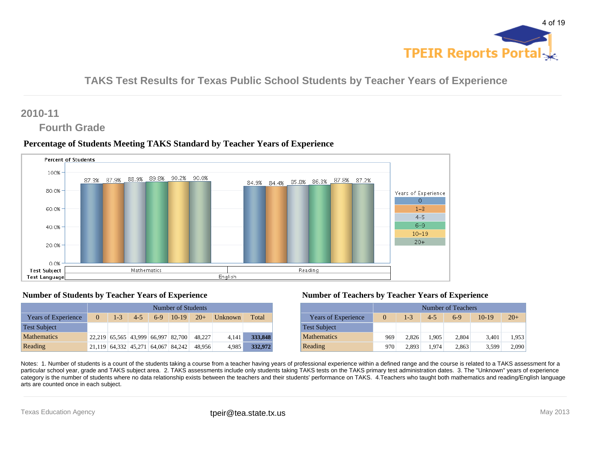

### **2010-11**

### **Fourth Grade**

#### **Percentage of Students Meeting TAKS Standard by Teacher Years of Experience**



#### **Number of Students by Teacher Years of Experience**

|                            |          | Number of Students |         |       |                                    |        |                        |         |  |  |  |  |  |  |  |
|----------------------------|----------|--------------------|---------|-------|------------------------------------|--------|------------------------|---------|--|--|--|--|--|--|--|
| <b>Years of Experience</b> | $\Omega$ | $1 - 3$            | $4 - 5$ | $6-9$ | $10-19$ $20+$                      |        | $\blacksquare$ Unknown | Total   |  |  |  |  |  |  |  |
| <b>Test Subject</b>        |          |                    |         |       |                                    |        |                        |         |  |  |  |  |  |  |  |
| <b>Mathematics</b>         |          |                    |         |       | 22,219 65,565 43,999 66,997 82,700 | 48.227 | 4.141                  | 333,848 |  |  |  |  |  |  |  |
| Reading                    |          |                    |         |       | 21,119 64,332 45,271 64,067 84,242 | 48.956 | 4.985                  | 332,972 |  |  |  |  |  |  |  |

#### **Number of Teachers by Teacher Years of Experience**

|                            |          |         |         | Number of Teachers |         |       |
|----------------------------|----------|---------|---------|--------------------|---------|-------|
| <b>Years of Experience</b> | $\Omega$ | $1 - 3$ | $4 - 5$ | $6-9$              | $10-19$ | $20+$ |
| <b>Test Subject</b>        |          |         |         |                    |         |       |
| <b>Mathematics</b>         | 969      | 2.826   | 1.905   | 2,804              | 3.401   | 1,953 |
| Reading                    | 970      | 2.893   | 1.974   | 2.863              | 3.599   | 2.090 |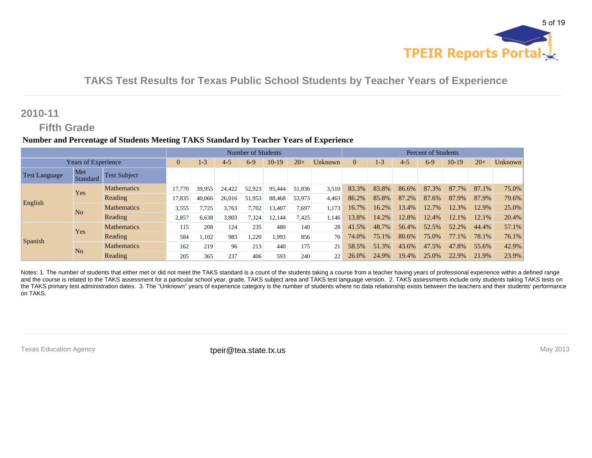

### **2010-11**

### **Fifth Grade**

#### **Number and Percentage of Students Meeting TAKS Standard by Teacher Years of Experience**

|                      |                            |                     |                |        |         | Number of Students |        |        |         | <b>Percent of Students</b> |         |         |       |       |       |         |
|----------------------|----------------------------|---------------------|----------------|--------|---------|--------------------|--------|--------|---------|----------------------------|---------|---------|-------|-------|-------|---------|
|                      | <b>Years of Experience</b> |                     | $\overline{0}$ | $1-3$  | $4 - 5$ | $6-9$              | 10-19  | $20+$  | Unknown | $\Omega$                   | $1 - 3$ | $4 - 5$ | $6-9$ | 10-19 | $20+$ | Unknown |
| <b>Test Language</b> | Met<br>Standard            | <b>Test Subject</b> |                |        |         |                    |        |        |         |                            |         |         |       |       |       |         |
|                      | Yes                        | <b>Mathematics</b>  | 17,770         | 39,955 | 24,422  | 52,923             | 95,444 | 51,836 | 3,510   | 83.3%                      | 83.8%   | 86.6%   | 87.3% | 87.7% | 87.1% | 75.0%   |
| English              |                            | Reading             | 17,835         | 40.066 | 26,016  | 51,953             | 88,468 | 53,973 | 4.463   | 86.2%                      | 85.8%   | 87.2%   | 87.6% | 87.9% | 87.9% | 79.6%   |
|                      | N <sub>o</sub>             | <b>Mathematics</b>  | 3,555          | ,725   | 3,763   | 7,702              | 13,407 | 7,697  | 1,173   | 16.7%                      | 16.2%   | 13.4%   | 12.7% | 12.3% | 12.9% | 25.0%   |
|                      |                            | Reading             | 2,857          | 6,638  | 3,803   | 7,324              | 12,144 | 7,425  | 1,146   | 13.8%                      | 14.2%   | 12.8%   | 12.4% | 12.1% | 12.1% | 20.4%   |
|                      | Yes                        | <b>Mathematics</b>  | 115            | 208    | 124     | 235                | 480    | 140    | 28      | 41.5%                      | 48.7%   | 56.4%   | 52.5% | 52.2% | 44.4% | 57.1%   |
|                      |                            | Reading             | 584            | 1,102  | 983     | 1,220              | 1,993  | 856    | 70      | 74.0%                      | 75.1%   | 80.6%   | 75.0% | 77.1% | 78.1% | 76.1%   |
| Spanish              | N <sub>o</sub>             | <b>Mathematics</b>  | 162            | 219    | 96      | 213                | 440    | 175    | 21      | 58.5%                      | 51.3%   | 43.6%   | 47.5% | 47.8% | 55.6% | 42.9%   |
|                      |                            | Reading             | 205            | 365    | 237     | 406                | 593    | 240    | 22      | 26.0%                      | 24.9%   | 19.4%   | 25.0% | 22.9% | 21.9% | 23.9%   |

Notes: 1. The number of students that either met or did not meet the TAKS standard is a count of the students taking a course from a teacher having years of professional experience within a defined range and the course is related to the TAKS assessment for a particular school year, grade, TAKS subject area and TAKS test language version. 2. TAKS assessments include only students taking TAKS tests on the TAKS primary test administration dates. 3. The "Unknown" years of experience category is the number of students where no data relationship exists between the teachers and their students' performance on TAKS.

Texas Education Agency **their@tea.state.tx.us** their **contained the intervals of the intervals** May 2013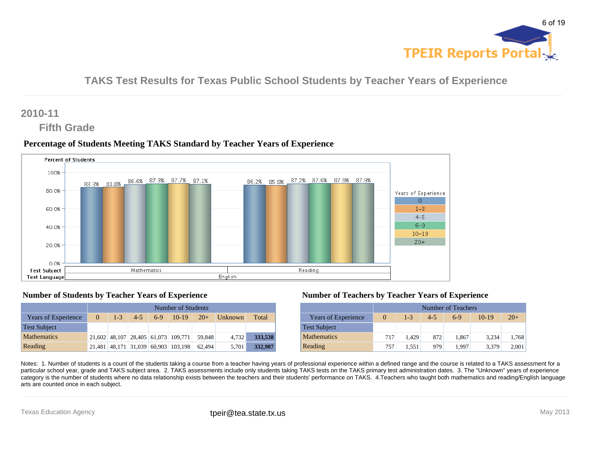

### **2010-11**

### **Fifth Grade**

#### **Percentage of Students Meeting TAKS Standard by Teacher Years of Experience**



#### **Number of Students by Teacher Years of Experience**

|                            |          | Number of Students |         |       |                                     |        |                |         |  |  |  |  |  |  |  |
|----------------------------|----------|--------------------|---------|-------|-------------------------------------|--------|----------------|---------|--|--|--|--|--|--|--|
| <b>Years of Experience</b> | $\Omega$ | $1 - 3$            | $4 - 5$ | $6-9$ | $10-19$ $20+$                       |        | <b>Unknown</b> | Total   |  |  |  |  |  |  |  |
| <b>Test Subject</b>        |          |                    |         |       |                                     |        |                |         |  |  |  |  |  |  |  |
| <b>Mathematics</b>         |          |                    |         |       | 21,602 48,107 28,405 61,073 109,771 | 59.848 | 4.732          | 333,538 |  |  |  |  |  |  |  |
| Reading                    |          |                    |         |       | 21,481 48,171 31,039 60,903 103,198 | 62.494 | 5.701          | 332,987 |  |  |  |  |  |  |  |

#### **Number of Teachers by Teacher Years of Experience**

|                            |          |         |         | Number of Teachers |         |       |
|----------------------------|----------|---------|---------|--------------------|---------|-------|
| <b>Years of Experience</b> | $\Omega$ | $1 - 3$ | $4 - 5$ | $6-9$              | $10-19$ | $20+$ |
| <b>Test Subject</b>        |          |         |         |                    |         |       |
| <b>Mathematics</b>         | 717      | 1.429   | 872     | 1.867              | 3.234   | 1,768 |
| Reading                    | 757      | 1.551   | 979     | 1.997              | 3.379   | 2,001 |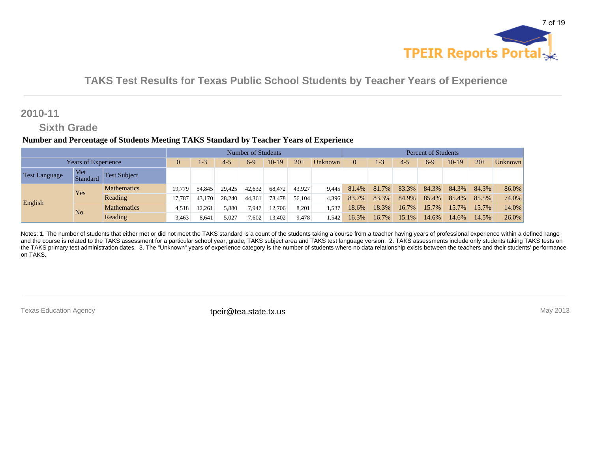

### **2010-11**

### **Sixth Grade**

#### **Number and Percentage of Students Meeting TAKS Standard by Teacher Years of Experience**

|                            |                 |                     |        |        |         | <b>Number of Students</b> |         |        |         |          |         |         | <b>Percent of Students</b> |          |       |         |
|----------------------------|-----------------|---------------------|--------|--------|---------|---------------------------|---------|--------|---------|----------|---------|---------|----------------------------|----------|-------|---------|
| <b>Years of Experience</b> |                 |                     |        | 1-3    | $4 - 5$ | $6-9$                     | $10-19$ | $20+$  | Unknown | $\Omega$ | $1 - 3$ | $4 - 5$ | $6-9$                      | 10-19    | $20+$ | Unknown |
| Test Language              | Met<br>Standard | <b>Test Subject</b> |        |        |         |                           |         |        |         |          |         |         |                            |          |       |         |
|                            | Yes             | <b>Mathematics</b>  | 19.779 | 54,845 | 29.425  | 42,632                    | 68.472  | 43.927 | 9.445   | 81.4%    | 81.7%   | 83.3%   | 84.3%                      | 84.3%    | 84.3% | 86.0%   |
| English                    |                 | Reading             | 17.787 | 43.170 | 28.240  | 44,361                    | 78,478  | 56.104 | 4.396   | 83.7%    | 83.3%   | 84.9%   | 85.4%                      | 85.4%    | 85.5% | 74.0%   |
|                            | N <sub>o</sub>  | <b>Mathematics</b>  | 4,518  | 2.261  | 5,880   | 7,947                     | 12,706  | 8,201  | 1,537   | 18.6%    | 18.3%   | 16.7%   | 15.7%                      | $15.7\%$ | 15.7% | 14.0%   |
|                            |                 | Reading             | 3,463  | 8.641  | 5,027   | 7,602                     | 13,402  | 9,478  | l.542   | 16.3%    | 16.7%   | 15.1%   | 14.6%                      | 14.6%    | 14.5% | 26.0%   |

Notes: 1. The number of students that either met or did not meet the TAKS standard is a count of the students taking a course from a teacher having years of professional experience within a defined range and the course is related to the TAKS assessment for a particular school year, grade, TAKS subject area and TAKS test language version. 2. TAKS assessments include only students taking TAKS tests on the TAKS primary test administration dates. 3. The "Unknown" years of experience category is the number of students where no data relationship exists between the teachers and their students' performance on TAKS.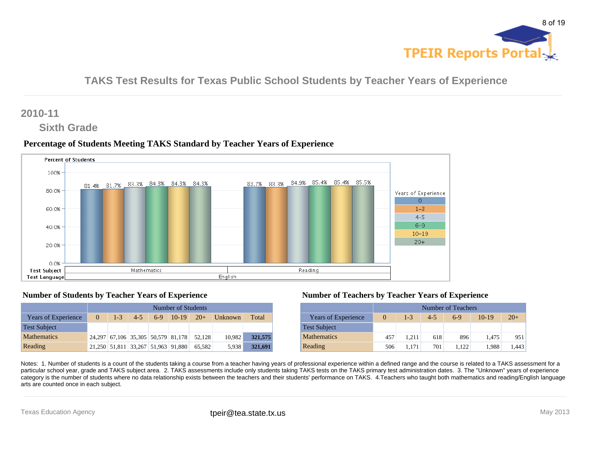

### **2010-11**

### **Sixth Grade**

#### **Percentage of Students Meeting TAKS Standard by Teacher Years of Experience**



#### **Number of Students by Teacher Years of Experience**

|                            |          |         |         |       | Number of Students                 |        |                |         |
|----------------------------|----------|---------|---------|-------|------------------------------------|--------|----------------|---------|
| <b>Years of Experience</b> | $\Omega$ | $1 - 3$ | $4 - 5$ | $6-9$ | $10-19$ $20+$                      |        | <b>Unknown</b> | Total   |
| <b>Test Subject</b>        |          |         |         |       |                                    |        |                |         |
| <b>Mathematics</b>         |          |         |         |       | 24,297 67,106 35,305 50,579 81,178 | 52.128 | 10,982         | 321,575 |
| Reading                    |          |         |         |       | 21,250 51,811 33,267 51,963 91,880 | 65.582 | 5.938          | 321,691 |

#### **Number of Teachers by Teacher Years of Experience**

|                            |          |         |         | Number of Teachers |         |       |
|----------------------------|----------|---------|---------|--------------------|---------|-------|
| <b>Years of Experience</b> | $\Omega$ | $1 - 3$ | $4 - 5$ | $6-9$              | $10-19$ | $20+$ |
| <b>Test Subject</b>        |          |         |         |                    |         |       |
| <b>Mathematics</b>         | 457      | 1.211   | 618     | 896                | 1.475   | 951   |
| Reading                    | 506      | 1.171   | 701     | 1.122              | 1.988   | 1.443 |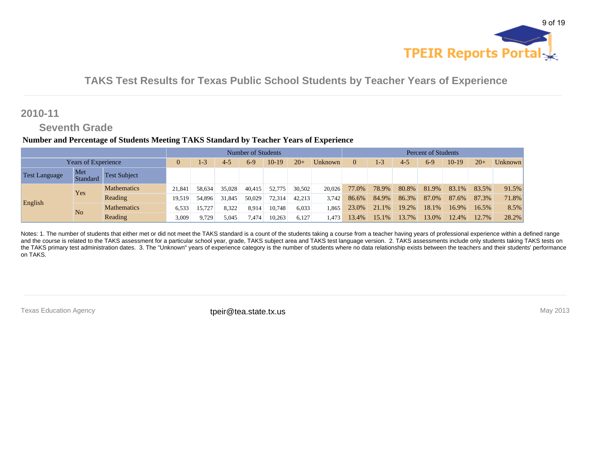

### **2010-11**

## **Seventh Grade**

#### **Number and Percentage of Students Meeting TAKS Standard by Teacher Years of Experience**

|                            |                 |                     |         | <b>Number of Students</b> |         |        |         |          |         |         | <b>Percent of Students</b> |       |       |          |       |       |  |
|----------------------------|-----------------|---------------------|---------|---------------------------|---------|--------|---------|----------|---------|---------|----------------------------|-------|-------|----------|-------|-------|--|
| <b>Years of Experience</b> |                 | 1-3                 | $4 - 5$ | $6-9$                     | $10-19$ | $20+$  | Unknown | $\Omega$ | $1 - 3$ | $4 - 5$ | $6-9$                      | 10-19 | $20+$ | Unknown  |       |       |  |
| <b>Test Language</b>       | Met<br>Standard | <b>Test Subject</b> |         |                           |         |        |         |          |         |         |                            |       |       |          |       |       |  |
|                            | Yes             | <b>Mathematics</b>  | 21.841  | 58.634                    | 35.028  | 40.415 | 52,775  | 30,502   | 20,026  | 77.0%   | 78.9%                      | 80.8% | 81.9% | 83.1%    | 83.5% | 91.5% |  |
| English                    |                 | Reading             | 19.519  | 54.896                    | 31.845  | 50.029 | 72,314  | 42.213   | 3.742   | 86.6%   | 84.9%                      | 86.3% | 87.0% | 87.6%    | 87.3% | 71.8% |  |
|                            | N <sub>o</sub>  | <b>Mathematics</b>  | 6,533   | 5.727                     | 8,322   | 8,914  | 10,748  | 6,033    | 1,865   | 23.0%   | 21.1%                      | 19.2% | 18.1% | 16.9%    | 16.5% | 8.5%  |  |
|                            |                 | Reading             | 3,009   | 9.729                     | 5,045   | 7,474  | 10,263  | 6,127    | l.473   | 13.4%   | 15.1%                      | 13.7% | 13.0% | $12.4\%$ | 12.7% | 28.2% |  |

Notes: 1. The number of students that either met or did not meet the TAKS standard is a count of the students taking a course from a teacher having years of professional experience within a defined range and the course is related to the TAKS assessment for a particular school year, grade, TAKS subject area and TAKS test language version. 2. TAKS assessments include only students taking TAKS tests on the TAKS primary test administration dates. 3. The "Unknown" years of experience category is the number of students where no data relationship exists between the teachers and their students' performance on TAKS.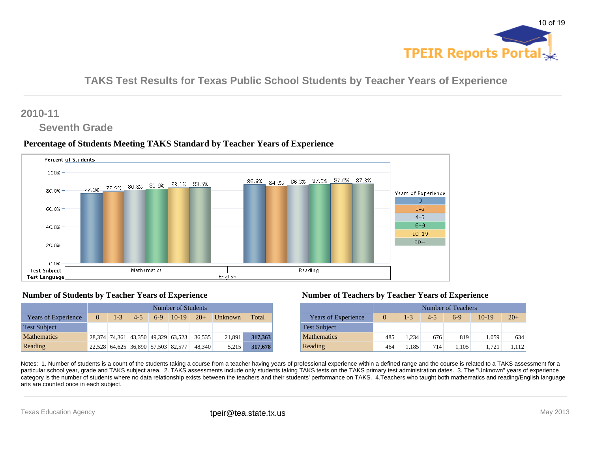

### **2010-11**

### **Seventh Grade**

#### **Percentage of Students Meeting TAKS Standard by Teacher Years of Experience**



#### **Number of Students by Teacher Years of Experience**

|                            |          | Number of Students |         |                                    |                                    |        |                |         |  |  |  |  |  |  |  |
|----------------------------|----------|--------------------|---------|------------------------------------|------------------------------------|--------|----------------|---------|--|--|--|--|--|--|--|
| <b>Years of Experience</b> | $\Omega$ | $1 - 3$            | $4 - 5$ | $6-9$                              | $10-19$ $20+$                      |        | <b>Unknown</b> | Total   |  |  |  |  |  |  |  |
| <b>Test Subject</b>        |          |                    |         |                                    |                                    |        |                |         |  |  |  |  |  |  |  |
| <b>Mathematics</b>         |          |                    |         |                                    | 28,374 74,361 43,350 49,329 63,523 | 36.535 | 21,891         | 317,363 |  |  |  |  |  |  |  |
| Reading                    |          |                    |         | 22,528 64,625 36,890 57,503 82,577 |                                    | 48.340 | 5.215          | 317,678 |  |  |  |  |  |  |  |

#### **Number of Teachers by Teacher Years of Experience**

|                            |                                                             |       |     | Number of Teachers |       |       |  |  |  |  |  |
|----------------------------|-------------------------------------------------------------|-------|-----|--------------------|-------|-------|--|--|--|--|--|
| <b>Years of Experience</b> | $20+$<br>$1 - 3$<br>$10-19$<br>$4 - 5$<br>$\Omega$<br>$6-9$ |       |     |                    |       |       |  |  |  |  |  |
| <b>Test Subject</b>        |                                                             |       |     |                    |       |       |  |  |  |  |  |
| <b>Mathematics</b>         | 485                                                         | 1.234 | 676 | 819                | 1.059 | 634   |  |  |  |  |  |
| Reading                    | 464                                                         | 1.185 | 714 | 1.105              | 1.721 | 1.112 |  |  |  |  |  |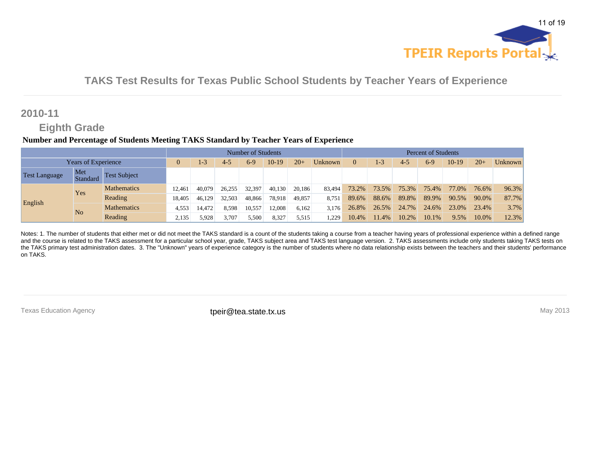

### **2010-11**

## **Eighth Grade**

#### **Number and Percentage of Students Meeting TAKS Standard by Teacher Years of Experience**

|                            |                 |                     |         | Number of Students |         |        |         |          |         |         | <b>Percent of Students</b> |       |       |         |       |       |  |
|----------------------------|-----------------|---------------------|---------|--------------------|---------|--------|---------|----------|---------|---------|----------------------------|-------|-------|---------|-------|-------|--|
| <b>Years of Experience</b> |                 | 1-3                 | $4 - 5$ | $6-9$              | $10-19$ | $20+$  | Unknown | $\Omega$ | $1 - 3$ | $4 - 5$ | $6-9$                      | 10-19 | $20+$ | Unknown |       |       |  |
| <b>Test Language</b>       | Met<br>Standard | <b>Test Subject</b> |         |                    |         |        |         |          |         |         |                            |       |       |         |       |       |  |
|                            | Yes             | <b>Mathematics</b>  | 12.461  | 40,079             | 26.255  | 32,397 | 40.130  | 20.186   | 83.494  | 73.2%   | 73.5%                      | 75.3% | 75.4% | 77.0%   | 76.6% | 96.3% |  |
| English                    |                 | Reading             | 18.405  | 46.129             | 32.503  | 48,866 | 78,918  | 49,857   | 8,751   | 89.6%   | 88.6%                      | 89.8% | 89.9% | 90.5%   | 90.0% | 87.7% |  |
|                            | N <sub>o</sub>  | <b>Mathematics</b>  | 4,553   | 14.472             | 8,598   | 10,557 | 12,008  | 6,162    | 3.176   | 26.8%   | 26.5%                      | 24.7% | 24.6% | 23.0%   | 23.4% | 3.7%  |  |
|                            |                 | Reading             | 2,135   | 5.928              | 3,707   | 5,500  | 8,327   | 5,515    | .229    | 10.4%   | 11.4%                      | 10.2% | 10.1% | 9.5%    | 10.0% | 12.3% |  |

Notes: 1. The number of students that either met or did not meet the TAKS standard is a count of the students taking a course from a teacher having years of professional experience within a defined range and the course is related to the TAKS assessment for a particular school year, grade, TAKS subject area and TAKS test language version. 2. TAKS assessments include only students taking TAKS tests on the TAKS primary test administration dates. 3. The "Unknown" years of experience category is the number of students where no data relationship exists between the teachers and their students' performance on TAKS.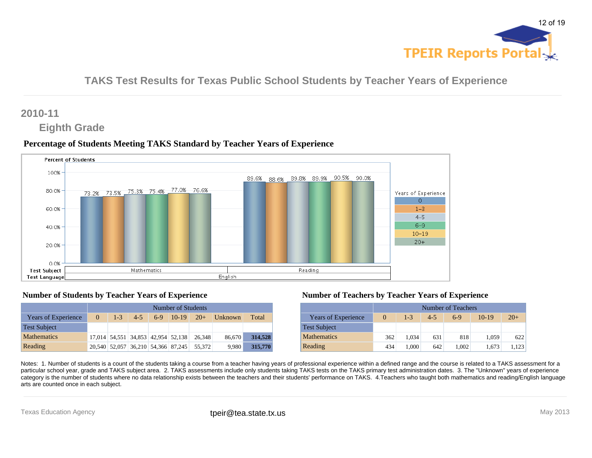

### **2010-11**

### **Eighth Grade**

#### **Percentage of Students Meeting TAKS Standard by Teacher Years of Experience**



#### **Number of Students by Teacher Years of Experience**

|                            |          | Number of Students |         |       |                                    |        |                |         |  |  |  |  |  |  |  |
|----------------------------|----------|--------------------|---------|-------|------------------------------------|--------|----------------|---------|--|--|--|--|--|--|--|
| <b>Years of Experience</b> | $\Omega$ | $1 - 3$            | $4 - 5$ | $6-9$ | $10-19$ 20+                        |        | <b>Unknown</b> | Total   |  |  |  |  |  |  |  |
| <b>Test Subject</b>        |          |                    |         |       |                                    |        |                |         |  |  |  |  |  |  |  |
| <b>Mathematics</b>         |          |                    |         |       | 17,014 54,551 34,853 42,954 52,138 | 26.348 | 86,670         | 314,528 |  |  |  |  |  |  |  |
| Reading                    |          |                    |         |       | 20,540 52,057 36,210 54,366 87,245 | 55.372 | 9.980          | 315,770 |  |  |  |  |  |  |  |

#### **Number of Teachers by Teacher Years of Experience**

|                            |                                                             |       |     | Number of Teachers |       |       |  |  |  |  |  |
|----------------------------|-------------------------------------------------------------|-------|-----|--------------------|-------|-------|--|--|--|--|--|
| <b>Years of Experience</b> | $20+$<br>$1 - 3$<br>$10-19$<br>$4 - 5$<br>$6-9$<br>$\Omega$ |       |     |                    |       |       |  |  |  |  |  |
| <b>Test Subject</b>        |                                                             |       |     |                    |       |       |  |  |  |  |  |
| <b>Mathematics</b>         | 362                                                         | 1.034 | 631 | 818                | 1,059 | 622   |  |  |  |  |  |
| Reading                    | 434                                                         | 1.000 | 642 | 1.002              | 1.673 | 1.123 |  |  |  |  |  |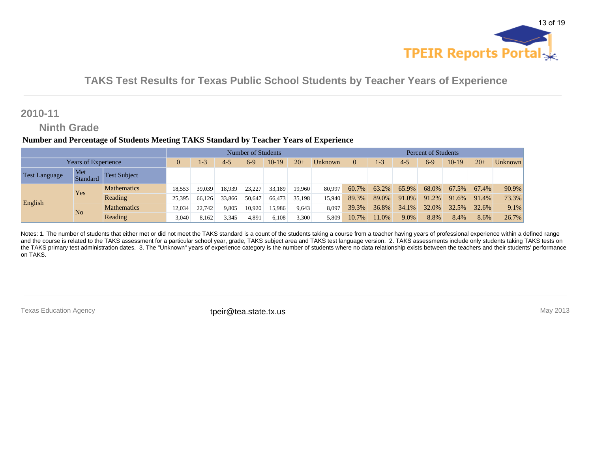

### **2010-11**

### **Ninth Grade**

#### **Number and Percentage of Students Meeting TAKS Standard by Teacher Years of Experience**

|                            |                 |                     |         |        |         | Number of Students |         |          |         | <b>Percent of Students</b> |       |       |       |         |       |       |
|----------------------------|-----------------|---------------------|---------|--------|---------|--------------------|---------|----------|---------|----------------------------|-------|-------|-------|---------|-------|-------|
| <b>Years of Experience</b> |                 | $-3$                | $4 - 5$ | $6-9$  | $10-19$ | $20+$              | Unknown | $\Omega$ | $1 - 3$ | $4 - 5$                    | $6-9$ | 10-19 | $20+$ | Unknown |       |       |
| <b>Test Language</b>       | Met<br>Standard | <b>Test Subject</b> |         |        |         |                    |         |          |         |                            |       |       |       |         |       |       |
|                            | Yes             | <b>Mathematics</b>  | 18.553  | 39.039 | 18.939  | 23.227             | 33.189  | 19.960   | 80.997  | 60.7%                      | 63.2% | 65.9% | 68.0% | 67.5%   | 67.4% | 90.9% |
| English                    |                 | Reading             | 25,395  | 66.126 | 33,866  | 50,647             | 66,473  | 35,198   | 15,940  | 89.3%                      | 89.0% | 91.0% | 91.2% | 91.6%   | 91.4% | 73.3% |
|                            | N <sub>o</sub>  | <b>Mathematics</b>  | 12,034  | 22.742 | 9,805   | 10,920             | 15,986  | 9,643    | 8,097   | 39.3%                      | 36.8% | 34.1% | 32.0% | 32.5%   | 32.6% | 9.1%  |
|                            |                 | Reading             | 3,040   | 8,162  | 3,345   | 4,891              | 6,108   | 3,300    | 5,809   | 10.7%                      | 1.0%  | 9.0%  | 8.8%  | 8.4%    | 8.6%  | 26.7% |

Notes: 1. The number of students that either met or did not meet the TAKS standard is a count of the students taking a course from a teacher having years of professional experience within a defined range and the course is related to the TAKS assessment for a particular school year, grade, TAKS subject area and TAKS test language version. 2. TAKS assessments include only students taking TAKS tests on the TAKS primary test administration dates. 3. The "Unknown" years of experience category is the number of students where no data relationship exists between the teachers and their students' performance on TAKS.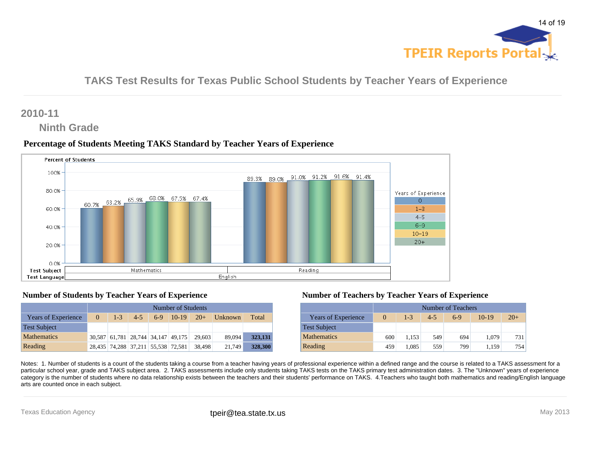

### **2010-11**

### **Ninth Grade**

#### **Percentage of Students Meeting TAKS Standard by Teacher Years of Experience**



#### **Number of Students by Teacher Years of Experience**

|                            |          | Number of Students |         |                                    |                                    |        |                        |         |  |  |  |  |  |  |  |
|----------------------------|----------|--------------------|---------|------------------------------------|------------------------------------|--------|------------------------|---------|--|--|--|--|--|--|--|
| <b>Years of Experience</b> | $\Omega$ | $1 - 3$            | $4 - 5$ | $6-9$                              | $10-19$ $20+$                      |        | $\blacksquare$ Unknown | Total   |  |  |  |  |  |  |  |
| <b>Test Subject</b>        |          |                    |         |                                    |                                    |        |                        |         |  |  |  |  |  |  |  |
| <b>Mathematics</b>         |          |                    |         |                                    | 30,587 61,781 28,744 34,147 49,175 | 29.603 | 89,094                 | 323,131 |  |  |  |  |  |  |  |
| Reading                    |          |                    |         | 28,435 74,288 37,211 55,538 72,581 |                                    | 38.498 | 21.749                 | 328,300 |  |  |  |  |  |  |  |

#### **Number of Teachers by Teacher Years of Experience**

|                            |                                                             |       |     | Number of Teachers |       |     |  |  |  |  |  |  |
|----------------------------|-------------------------------------------------------------|-------|-----|--------------------|-------|-----|--|--|--|--|--|--|
| <b>Years of Experience</b> | $20+$<br>$1 - 3$<br>$10-19$<br>$4 - 5$<br>$6-9$<br>$\Omega$ |       |     |                    |       |     |  |  |  |  |  |  |
| <b>Test Subject</b>        |                                                             |       |     |                    |       |     |  |  |  |  |  |  |
| <b>Mathematics</b>         | 600                                                         | 1.153 | 549 | 694                | 1,079 | 731 |  |  |  |  |  |  |
| Reading                    | 459                                                         | 1.085 | 559 | 799                | 1.159 | 754 |  |  |  |  |  |  |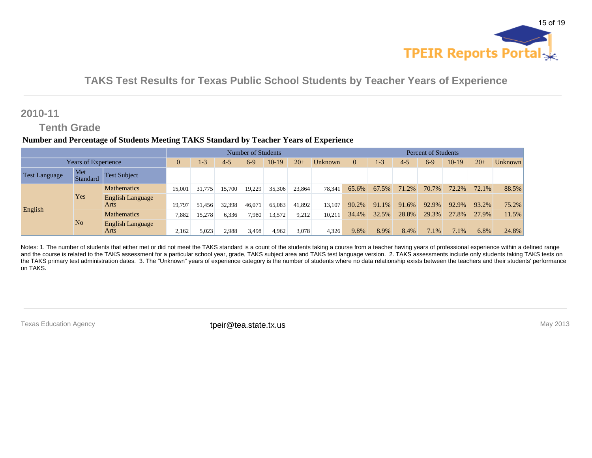

### **2010-11**

## **Tenth Grade**

#### **Number and Percentage of Students Meeting TAKS Standard by Teacher Years of Experience**

|                      |                     |                                 |          |         |         | Number of Students |         |        |                | <b>Percent of Students</b> |         |         |        |       |       |         |
|----------------------|---------------------|---------------------------------|----------|---------|---------|--------------------|---------|--------|----------------|----------------------------|---------|---------|--------|-------|-------|---------|
|                      | Years of Experience |                                 | $\Omega$ | $1 - 3$ | $4 - 5$ | $6-9$              | $10-19$ | $20+$  | <b>Unknown</b> | $\Omega$                   | $1 - 3$ | $4 - 5$ | $6-9$  | 10-19 | $20+$ | Unknown |
| <b>Test Language</b> | Met<br>Standard     | <b>Test Subject</b>             |          |         |         |                    |         |        |                |                            |         |         |        |       |       |         |
|                      |                     | <b>Mathematics</b>              | 15,001   | 775     | 15.700  | 19,229             | 35,306  | 23.864 | 78.341         | 65.6%                      | 67.5%   | 71.2%   | 70.7%  | 72.2% | 72.1% | 88.5%   |
| English              | Yes                 | <b>English Language</b><br>Arts | 19,797   | 51.456  | 32.398  | 46,071             | 65,083  | 41.892 | 13.107         | 90.2%                      | 91.1%   | 91.6%   | 92.9%  | 92.9% | 93.2% | 75.2%   |
|                      |                     | <b>Mathematics</b>              | 7,882    | 5.278   | 6,336   | 7.980              | 13,572  | 9,212  | 10.211         | 34.4%                      | 32.5%   | 28.8%   | 29.3%  | 27.8% | 27.9% | 11.5%   |
|                      | N <sub>o</sub>      | <b>English Language</b><br>Arts | 2,162    | 5,023   | 2.988   | 3,498              | 4,962   | 3,078  | 4,326          | 9.8%                       | 8.9%    | 8.4%    | $.1\%$ | 7.1%  | 6.8%  | 24.8%   |

Notes: 1. The number of students that either met or did not meet the TAKS standard is a count of the students taking a course from a teacher having years of professional experience within a defined range and the course is related to the TAKS assessment for a particular school year, grade, TAKS subject area and TAKS test language version. 2. TAKS assessments include only students taking TAKS tests on the TAKS primary test administration dates. 3. The "Unknown" years of experience category is the number of students where no data relationship exists between the teachers and their students' performance on TAKS.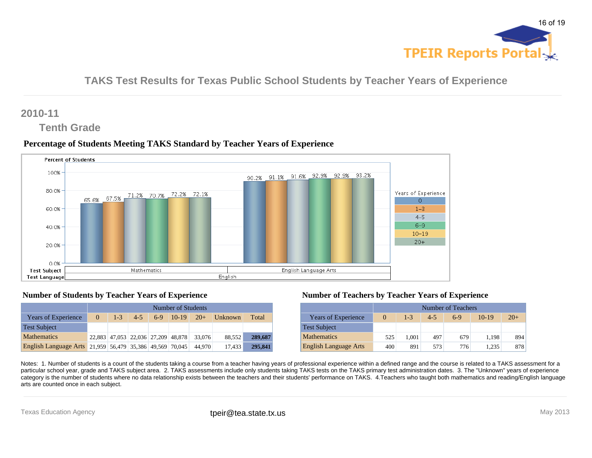

### **2010-11**

### **Tenth Grade**

#### **Percentage of Students Meeting TAKS Standard by Teacher Years of Experience**



#### **Number of Students by Teacher Years of Experience**

|                                                          |          | Number of Students |         |       |                                    |        |                |         |  |  |  |  |  |  |  |
|----------------------------------------------------------|----------|--------------------|---------|-------|------------------------------------|--------|----------------|---------|--|--|--|--|--|--|--|
| <b>Years of Experience</b>                               | $\Omega$ | $1 - 3$            | $4 - 5$ | $6-9$ | $10-19$ $20+$                      |        | <b>Unknown</b> | Total   |  |  |  |  |  |  |  |
| <b>Test Subject</b>                                      |          |                    |         |       |                                    |        |                |         |  |  |  |  |  |  |  |
| <b>Mathematics</b>                                       |          |                    |         |       | 22,883 47,053 22,036 27,209 48,878 | 33,076 | 88.552         | 289,687 |  |  |  |  |  |  |  |
| English Language Arts 21,959 56,479 35,386 49,569 70,045 |          |                    |         |       |                                    | 44.970 | 17.433         | 295,841 |  |  |  |  |  |  |  |

#### **Number of Teachers by Teacher Years of Experience**

|                              |     |         |         | Number of Teachers |         |       |
|------------------------------|-----|---------|---------|--------------------|---------|-------|
| <b>Years of Experience</b>   |     | $1 - 3$ | $4 - 5$ | $6-9$              | $10-19$ | $20+$ |
| <b>Test Subject</b>          |     |         |         |                    |         |       |
| <b>Mathematics</b>           | 525 | 1.001   | 497     | 679                | 1.198   | 894   |
| <b>English Language Arts</b> | 400 | 891     | 573     | 776                | 1.235   | 878   |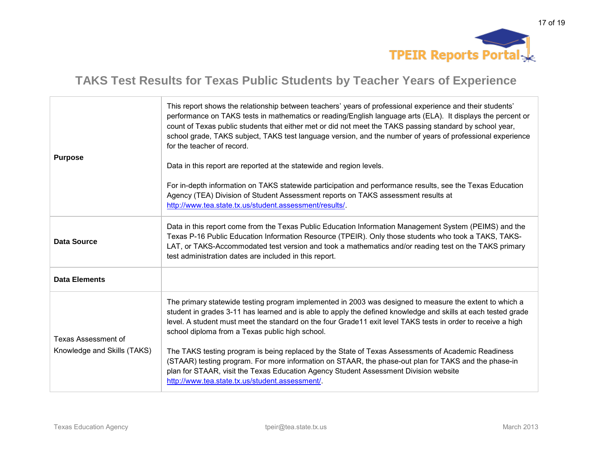

| <b>Purpose</b>                                            | This report shows the relationship between teachers' years of professional experience and their students'<br>performance on TAKS tests in mathematics or reading/English language arts (ELA). It displays the percent or<br>count of Texas public students that either met or did not meet the TAKS passing standard by school year,<br>school grade, TAKS subject, TAKS test language version, and the number of years of professional experience<br>for the teacher of record.<br>Data in this report are reported at the statewide and region levels.<br>For in-depth information on TAKS statewide participation and performance results, see the Texas Education<br>Agency (TEA) Division of Student Assessment reports on TAKS assessment results at<br>http://www.tea.state.tx.us/student.assessment/results/. |
|-----------------------------------------------------------|-----------------------------------------------------------------------------------------------------------------------------------------------------------------------------------------------------------------------------------------------------------------------------------------------------------------------------------------------------------------------------------------------------------------------------------------------------------------------------------------------------------------------------------------------------------------------------------------------------------------------------------------------------------------------------------------------------------------------------------------------------------------------------------------------------------------------|
| <b>Data Source</b>                                        | Data in this report come from the Texas Public Education Information Management System (PEIMS) and the<br>Texas P-16 Public Education Information Resource (TPEIR). Only those students who took a TAKS, TAKS-<br>LAT, or TAKS-Accommodated test version and took a mathematics and/or reading test on the TAKS primary<br>test administration dates are included in this report.                                                                                                                                                                                                                                                                                                                                                                                                                                     |
| <b>Data Elements</b>                                      |                                                                                                                                                                                                                                                                                                                                                                                                                                                                                                                                                                                                                                                                                                                                                                                                                       |
| <b>Texas Assessment of</b><br>Knowledge and Skills (TAKS) | The primary statewide testing program implemented in 2003 was designed to measure the extent to which a<br>student in grades 3-11 has learned and is able to apply the defined knowledge and skills at each tested grade<br>level. A student must meet the standard on the four Grade11 exit level TAKS tests in order to receive a high<br>school diploma from a Texas public high school.<br>The TAKS testing program is being replaced by the State of Texas Assessments of Academic Readiness<br>(STAAR) testing program. For more information on STAAR, the phase-out plan for TAKS and the phase-in<br>plan for STAAR, visit the Texas Education Agency Student Assessment Division website<br>http://www.tea.state.tx.us/student.assessment/.                                                                  |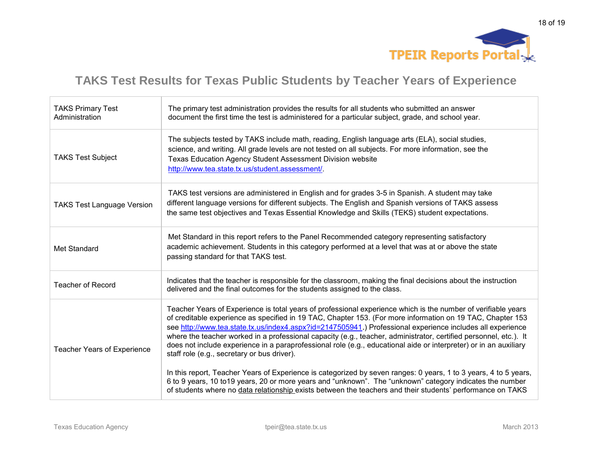

| <b>TAKS Primary Test</b><br>Administration | The primary test administration provides the results for all students who submitted an answer<br>document the first time the test is administered for a particular subject, grade, and school year.                                                                                                                                                                                                                                                                                                                                                                                                                                                                                                                                                    |
|--------------------------------------------|--------------------------------------------------------------------------------------------------------------------------------------------------------------------------------------------------------------------------------------------------------------------------------------------------------------------------------------------------------------------------------------------------------------------------------------------------------------------------------------------------------------------------------------------------------------------------------------------------------------------------------------------------------------------------------------------------------------------------------------------------------|
| <b>TAKS Test Subject</b>                   | The subjects tested by TAKS include math, reading, English language arts (ELA), social studies,<br>science, and writing. All grade levels are not tested on all subjects. For more information, see the<br>Texas Education Agency Student Assessment Division website<br>http://www.tea.state.tx.us/student.assessment/.                                                                                                                                                                                                                                                                                                                                                                                                                               |
| <b>TAKS Test Language Version</b>          | TAKS test versions are administered in English and for grades 3-5 in Spanish. A student may take<br>different language versions for different subjects. The English and Spanish versions of TAKS assess<br>the same test objectives and Texas Essential Knowledge and Skills (TEKS) student expectations.                                                                                                                                                                                                                                                                                                                                                                                                                                              |
| Met Standard                               | Met Standard in this report refers to the Panel Recommended category representing satisfactory<br>academic achievement. Students in this category performed at a level that was at or above the state<br>passing standard for that TAKS test.                                                                                                                                                                                                                                                                                                                                                                                                                                                                                                          |
| <b>Teacher of Record</b>                   | Indicates that the teacher is responsible for the classroom, making the final decisions about the instruction<br>delivered and the final outcomes for the students assigned to the class.                                                                                                                                                                                                                                                                                                                                                                                                                                                                                                                                                              |
| <b>Teacher Years of Experience</b>         | Teacher Years of Experience is total years of professional experience which is the number of verifiable years<br>of creditable experience as specified in 19 TAC, Chapter 153. (For more information on 19 TAC, Chapter 153<br>see http://www.tea.state.tx.us/index4.aspx?id=2147505941.) Professional experience includes all experience<br>where the teacher worked in a professional capacity (e.g., teacher, administrator, certified personnel, etc.). It<br>does not include experience in a paraprofessional role (e.g., educational aide or interpreter) or in an auxiliary<br>staff role (e.g., secretary or bus driver).<br>In this report, Teacher Years of Experience is categorized by seven ranges: 0 years, 1 to 3 years, 4 to 5 years, |
|                                            | 6 to 9 years, 10 to 19 years, 20 or more years and "unknown". The "unknown" category indicates the number<br>of students where no data relationship exists between the teachers and their students' performance on TAKS                                                                                                                                                                                                                                                                                                                                                                                                                                                                                                                                |